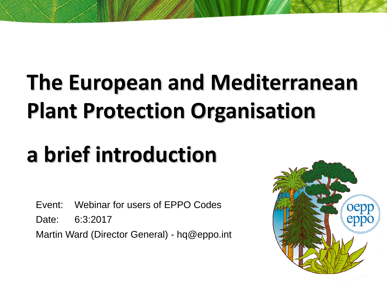# **The European and Mediterranean Plant Protection Organisation**

# **a brief introduction**

Event: Webinar for users of EPPO Codes

Date: 6:3:2017

Martin Ward (Director General) - hq@eppo.int

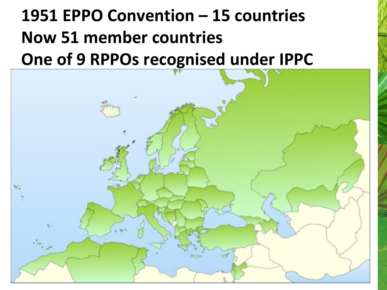## **1951 EPPO Convention – 15 countries Now 51 member countries One of 9 RPPOs recognised under IPPC**

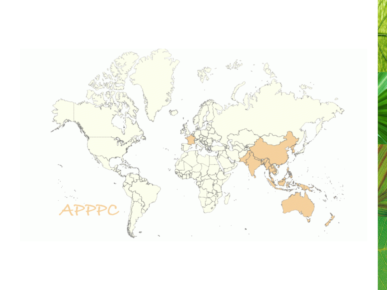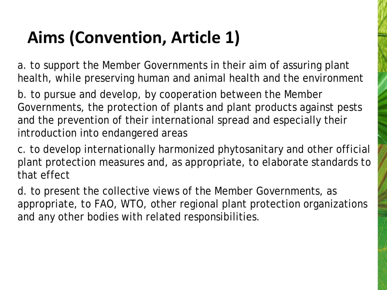## **Aims (Convention, Article 1)**

a. to support the Member Governments in their aim of assuring plant health, while preserving human and animal health and the environment

b. to pursue and develop, by cooperation between the Member Governments, the protection of plants and plant products against pests and the prevention of their international spread and especially their introduction into endangered areas

c. to develop internationally harmonized phytosanitary and other official plant protection measures and, as appropriate, to elaborate standards to that effect

d. to present the collective views of the Member Governments, as appropriate, to FAO, WTO, other regional plant protection organizations and any other bodies with related responsibilities.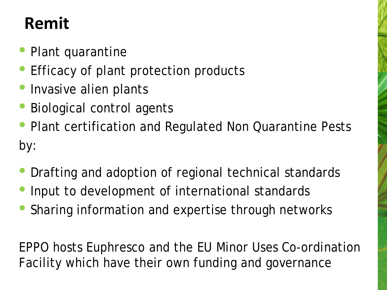### **Remit**

- Plant quarantine
- Efficacy of plant protection products
- Invasive alien plants
- Biological control agents
- Plant certification and Regulated Non Quarantine Pests by:
- Drafting and adoption of regional technical standards
- Input to development of international standards
- Sharing information and expertise through networks

EPPO hosts Euphresco and the EU Minor Uses Co-ordination Facility which have their own funding and governance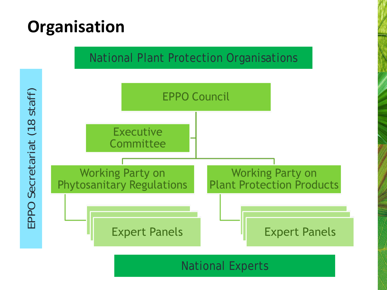### **Organisation**

#### National Plant Protection Organisations



National Experts

staff) EPPO Secretariat (18 staff)  $(18)$ EPPO Secretariat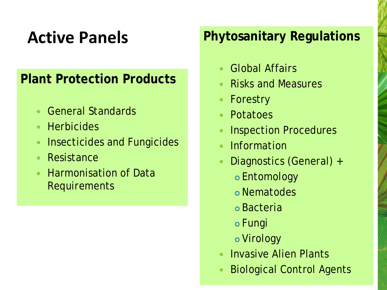### **Active Panels**

#### **Plant Protection Products**

- General Standards
- **Herbicides**
- **Insecticides and Fungicides**
- Resistance
- Harmonisation of Data Requirements

#### **Phytosanitary Regulations**

- Global Affairs
- Risks and Measures
- Forestry
- Potatoes
- Inspection Procedures
- Information
- Diagnostics (General) +
	- Entomology
	- Nematodes
	- Bacteria
	- Fungi
	- Virology
- **Invasive Alien Plants**
- Biological Control Agents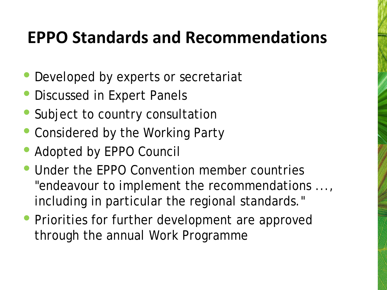### **EPPO Standards and Recommendations**

- Developed by experts or secretariat
- Discussed in Expert Panels
- Subject to country consultation
- Considered by the Working Party
- Adopted by EPPO Council
- Under the EPPO Convention member countries "endeavour to implement the recommendations ..., including in particular the regional standards."
- Priorities for further development are approved through the annual Work Programme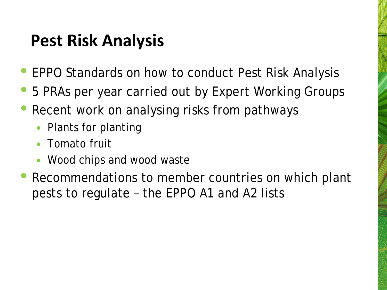### **Pest Risk Analysis**

- EPPO Standards on how to conduct Pest Risk Analysis
- 5 PRAs per year carried out by Expert Working Groups
- Recent work on analysing risks from pathways
	- Plants for planting
	- Tomato fruit
	- Wood chips and wood waste
- Recommendations to member countries on which plant pests to regulate – the EPPO A1 and A2 lists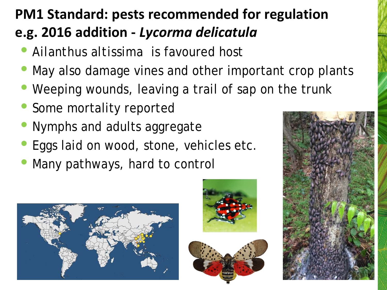### **PM1 Standard: pests recommended for regulation e.g. 2016 addition -** *Lycorma delicatula*

- *Ailanthus altissima* is favoured host
- May also damage vines and other important crop plants
- Weeping wounds, leaving a trail of sap on the trunk
- Some mortality reported
- Nymphs and adults aggregate
- Eggs laid on wood, stone, vehicles etc.
- Many pathways, hard to control







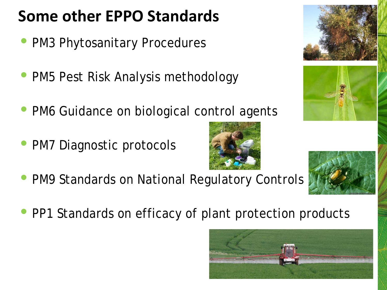## **Some other EPPO Standards**

- PM3 Phytosanitary Procedures
- PM5 Pest Risk Analysis methodology
- PM6 Guidance on biological control agents
- PM7 Diagnostic protocols





• PP1 Standards on efficacy of plant protection products







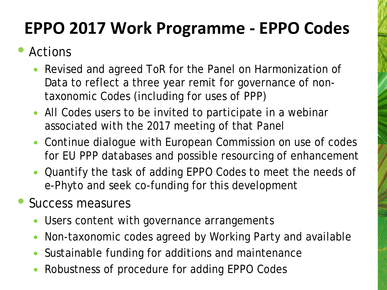### **EPPO 2017 Work Programme - EPPO Codes**

#### • Actions

- Revised and agreed ToR for the Panel on Harmonization of Data to reflect a three year remit for governance of nontaxonomic Codes (including for uses of PPP)
- All Codes users to be invited to participate in a webinar associated with the 2017 meeting of that Panel
- Continue dialogue with European Commission on use of codes for EU PPP databases and possible resourcing of enhancement
- Quantify the task of adding EPPO Codes to meet the needs of e-Phyto and seek co-funding for this development
- Success measures
	- Users content with governance arrangements
	- Non-taxonomic codes agreed by Working Party and available
	- Sustainable funding for additions and maintenance
	- Robustness of procedure for adding EPPO Codes